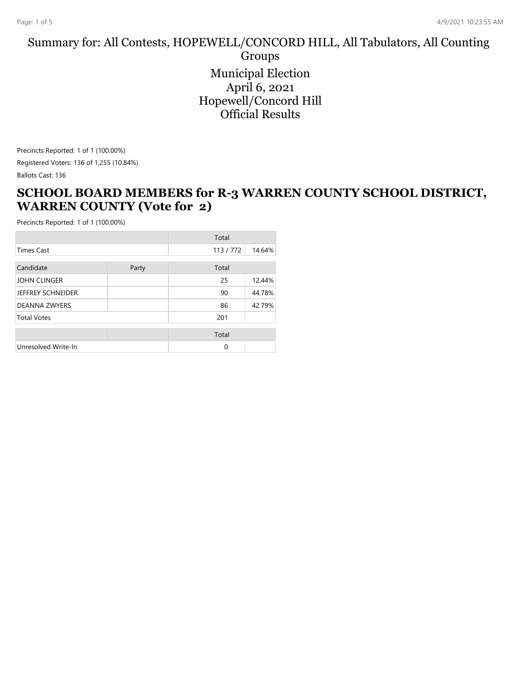#### Summary for: All Contests, HOPEWELL/CONCORD HILL, All Tabulators, All Counting Groups

Municipal Election April 6, 2021 Hopewell/Concord Hill Official Results

Precincts Reported: 1 of 1 (100.00%) Registered Voters: 136 of 1,255 (10.84%) Ballots Cast: 136

#### **SCHOOL BOARD MEMBERS for R-3 WARREN COUNTY SCHOOL DISTRICT, WARREN COUNTY (Vote for 2)**

|                          |       | Total    |        |
|--------------------------|-------|----------|--------|
| <b>Times Cast</b>        |       | 113/772  | 14.64% |
| Candidate                | Party | Total    |        |
| <b>JOHN CLINGER</b>      |       | 25       | 12.44% |
| <b>JEFFREY SCHNEIDER</b> |       | 90       | 44.78% |
| <b>DEANNA ZWYERS</b>     |       | 86       | 42.79% |
| <b>Total Votes</b>       |       | 201      |        |
|                          |       | Total    |        |
| Unresolved Write-In      |       | $\Omega$ |        |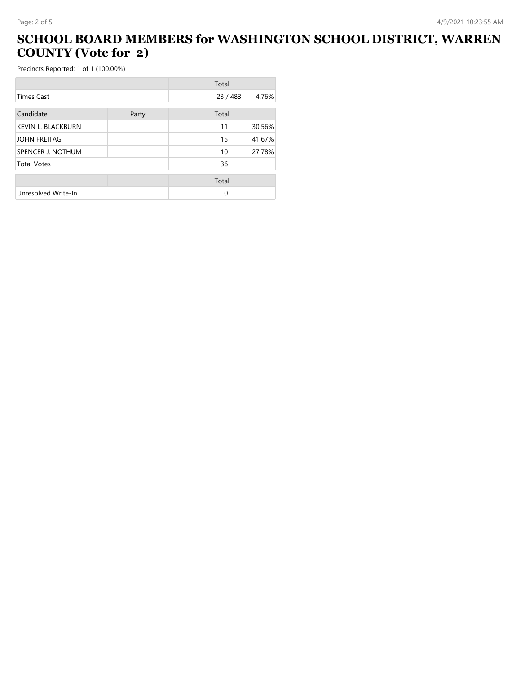# **SCHOOL BOARD MEMBERS for WASHINGTON SCHOOL DISTRICT, WARREN COUNTY (Vote for 2)**

|                           |       | Total  |        |
|---------------------------|-------|--------|--------|
| <b>Times Cast</b>         |       | 23/483 | 4.76%  |
| Candidate                 |       |        |        |
|                           | Party | Total  |        |
| <b>KEVIN L. BLACKBURN</b> |       | 11     | 30.56% |
| <b>JOHN FREITAG</b>       |       | 15     | 41.67% |
| SPENCER J. NOTHUM         |       | 10     | 27.78% |
| <b>Total Votes</b>        |       | 36     |        |
|                           |       |        |        |
|                           |       | Total  |        |
| Unresolved Write-In       |       | 0      |        |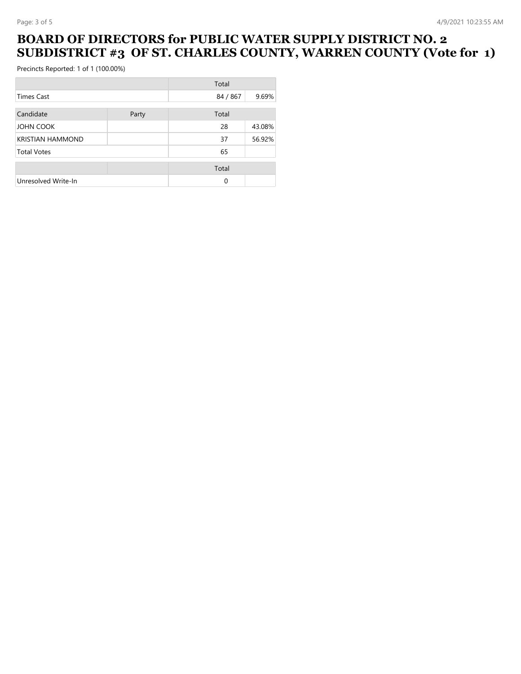### **BOARD OF DIRECTORS for PUBLIC WATER SUPPLY DISTRICT NO. 2 SUBDISTRICT #3 OF ST. CHARLES COUNTY, WARREN COUNTY (Vote for 1)**

|                         |       | Total    |        |
|-------------------------|-------|----------|--------|
| <b>Times Cast</b>       |       | 84 / 867 | 9.69%  |
|                         |       |          |        |
| Candidate               | Party | Total    |        |
| JOHN COOK               |       | 28       | 43.08% |
| <b>KRISTIAN HAMMOND</b> |       | 37       | 56.92% |
| <b>Total Votes</b>      |       | 65       |        |
|                         |       | Total    |        |
| Unresolved Write-In     |       | $\Omega$ |        |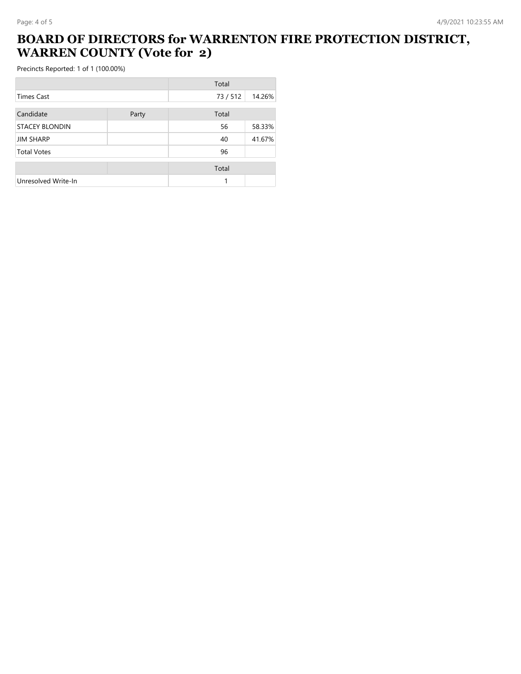## **BOARD OF DIRECTORS for WARRENTON FIRE PROTECTION DISTRICT, WARREN COUNTY (Vote for 2)**

|                       |       | Total  |        |
|-----------------------|-------|--------|--------|
| Times Cast            |       | 73/512 | 14.26% |
| Candidate             | Party | Total  |        |
| <b>STACEY BLONDIN</b> |       | 56     | 58.33% |
| <b>JIM SHARP</b>      |       | 40     | 41.67% |
| <b>Total Votes</b>    |       | 96     |        |
|                       |       | Total  |        |
| Unresolved Write-In   |       | 1      |        |